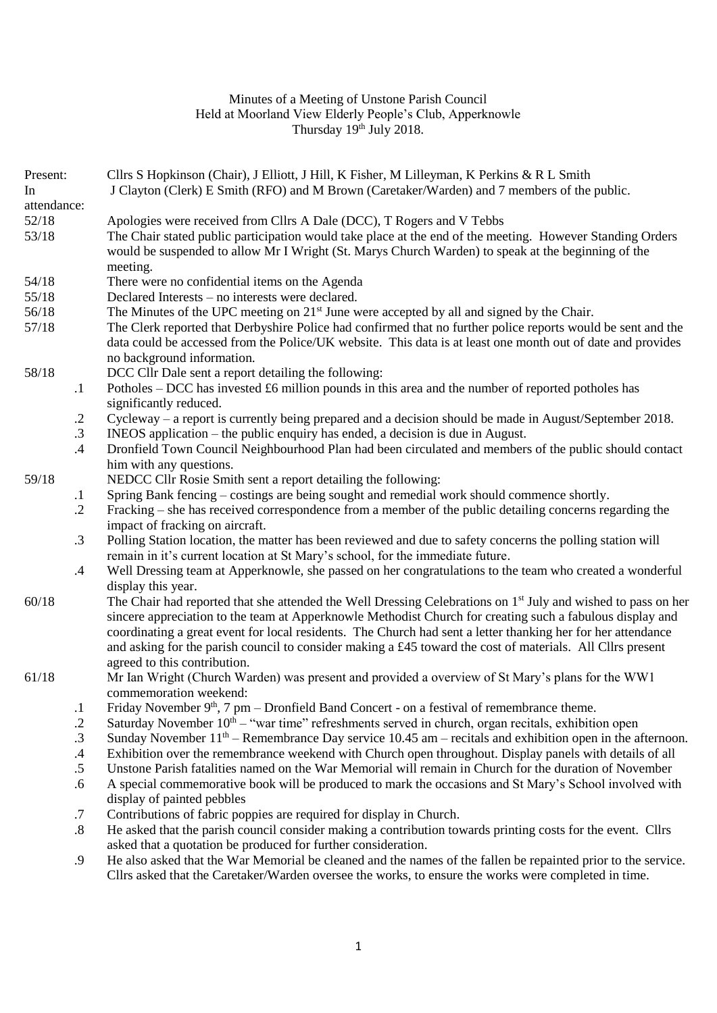## Minutes of a Meeting of Unstone Parish Council Held at Moorland View Elderly People's Club, Apperknowle Thursday 19<sup>th</sup> July 2018.

| Present:<br>In |               | Cllrs S Hopkinson (Chair), J Elliott, J Hill, K Fisher, M Lilleyman, K Perkins & R L Smith<br>J Clayton (Clerk) E Smith (RFO) and M Brown (Caretaker/Warden) and 7 members of the public. |
|----------------|---------------|-------------------------------------------------------------------------------------------------------------------------------------------------------------------------------------------|
| attendance:    |               |                                                                                                                                                                                           |
| 52/18          |               | Apologies were received from Cllrs A Dale (DCC), T Rogers and V Tebbs                                                                                                                     |
| 53/18          |               | The Chair stated public participation would take place at the end of the meeting. However Standing Orders                                                                                 |
|                |               | would be suspended to allow Mr I Wright (St. Marys Church Warden) to speak at the beginning of the                                                                                        |
|                |               | meeting.                                                                                                                                                                                  |
| 54/18          |               | There were no confidential items on the Agenda                                                                                                                                            |
| 55/18          |               | Declared Interests – no interests were declared.                                                                                                                                          |
| 56/18          |               | The Minutes of the UPC meeting on $21^{st}$ June were accepted by all and signed by the Chair.                                                                                            |
| 57/18          |               | The Clerk reported that Derbyshire Police had confirmed that no further police reports would be sent and the                                                                              |
|                |               | data could be accessed from the Police/UK website. This data is at least one month out of date and provides                                                                               |
|                |               | no background information.                                                                                                                                                                |
| 58/18          |               | DCC Cllr Dale sent a report detailing the following:                                                                                                                                      |
|                |               |                                                                                                                                                                                           |
|                | $\cdot$       | Potholes – DCC has invested £6 million pounds in this area and the number of reported potholes has<br>significantly reduced.                                                              |
|                | $\cdot$ .2    | Cycleway – a report is currently being prepared and a decision should be made in August/September 2018.                                                                                   |
|                | $\cdot$ 3     | INEOS application – the public enquiry has ended, a decision is due in August.                                                                                                            |
|                | $.4\,$        | Dronfield Town Council Neighbourhood Plan had been circulated and members of the public should contact                                                                                    |
|                |               | him with any questions.                                                                                                                                                                   |
| 59/18          |               | NEDCC Cllr Rosie Smith sent a report detailing the following:                                                                                                                             |
|                |               | Spring Bank fencing – costings are being sought and remedial work should commence shortly.                                                                                                |
|                | $\cdot$       |                                                                                                                                                                                           |
|                | $\cdot$ .2    | Fracking – she has received correspondence from a member of the public detailing concerns regarding the                                                                                   |
|                |               | impact of fracking on aircraft.                                                                                                                                                           |
|                | $\cdot$ 3     | Polling Station location, the matter has been reviewed and due to safety concerns the polling station will                                                                                |
|                |               | remain in it's current location at St Mary's school, for the immediate future.                                                                                                            |
|                | $.4\,$        | Well Dressing team at Apperknowle, she passed on her congratulations to the team who created a wonderful                                                                                  |
|                |               | display this year.                                                                                                                                                                        |
| 60/18          |               | The Chair had reported that she attended the Well Dressing Celebrations on 1 <sup>st</sup> July and wished to pass on her                                                                 |
|                |               | sincere appreciation to the team at Apperknowle Methodist Church for creating such a fabulous display and                                                                                 |
|                |               | coordinating a great event for local residents. The Church had sent a letter thanking her for her attendance                                                                              |
|                |               | and asking for the parish council to consider making a £45 toward the cost of materials. All Cllrs present                                                                                |
|                |               | agreed to this contribution.                                                                                                                                                              |
| 61/18          |               | Mr Ian Wright (Church Warden) was present and provided a overview of St Mary's plans for the WW1                                                                                          |
|                |               | commemoration weekend:                                                                                                                                                                    |
|                | $\cdot$       | Friday November $9th$ , 7 pm – Dronfield Band Concert - on a festival of remembrance theme.                                                                                               |
|                | $\cdot$ .2    | Saturday November $10th - "war time"$ refreshments served in church, organ recitals, exhibition open                                                                                      |
|                | $\cdot$ 3     | Sunday November $11th$ – Remembrance Day service 10.45 am – recitals and exhibition open in the afternoon.                                                                                |
|                | $\mathcal{A}$ | Exhibition over the remembrance weekend with Church open throughout. Display panels with details of all                                                                                   |
|                | $.5\,$        | Unstone Parish fatalities named on the War Memorial will remain in Church for the duration of November                                                                                    |
|                | .6            | A special commemorative book will be produced to mark the occasions and St Mary's School involved with                                                                                    |
|                |               | display of painted pebbles                                                                                                                                                                |
|                | $\cdot$ 7     | Contributions of fabric poppies are required for display in Church.                                                                                                                       |
|                | $.8\,$        | He asked that the parish council consider making a contribution towards printing costs for the event. Cllrs                                                                               |
|                |               | asked that a quotation be produced for further consideration.                                                                                                                             |
|                | .9            | He also asked that the War Memorial be cleaned and the names of the fallen be repainted prior to the service.                                                                             |
|                |               | Cllrs asked that the Caretaker/Warden oversee the works, to ensure the works were completed in time.                                                                                      |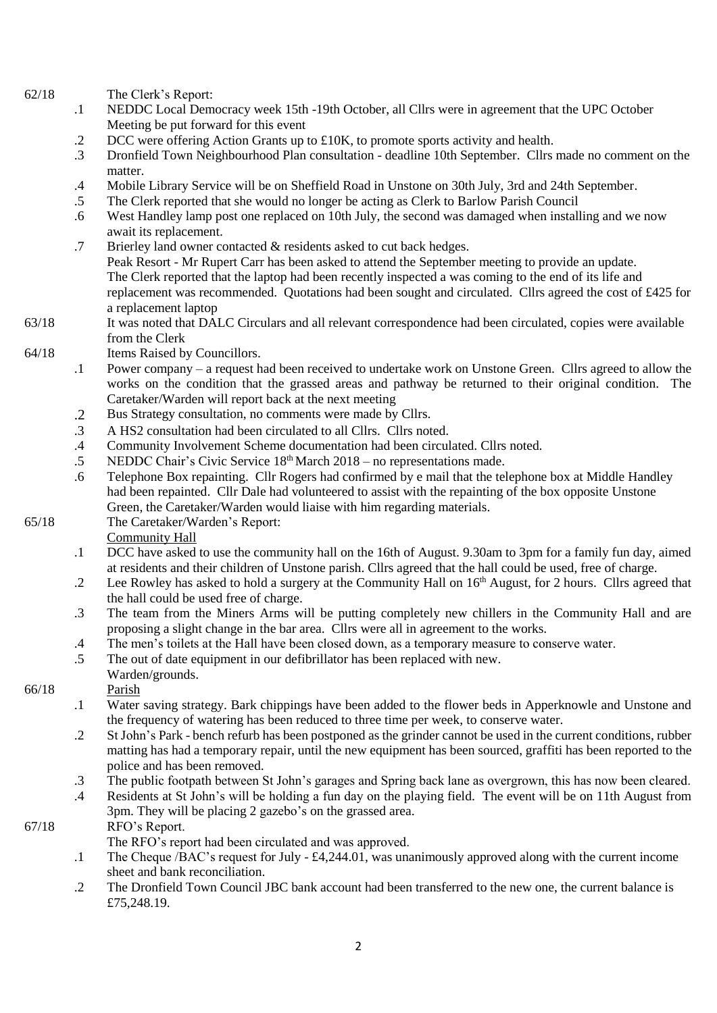62/18 The Clerk's Report:

- .1 NEDDC Local Democracy week 15th -19th October, all Cllrs were in agreement that the UPC October Meeting be put forward for this event
- .2 DCC were offering Action Grants up to £10K, to promote sports activity and health.
- .3 Dronfield Town Neighbourhood Plan consultation - deadline 10th September. Cllrs made no comment on the matter.
- .4 Mobile Library Service will be on Sheffield Road in Unstone on 30th July, 3rd and 24th September.
- .5 The Clerk reported that she would no longer be acting as Clerk to Barlow Parish Council
- .6 West Handley lamp post one replaced on 10th July, the second was damaged when installing and we now await its replacement.
- .7 Brierley land owner contacted & residents asked to cut back hedges. Peak Resort - Mr Rupert Carr has been asked to attend the September meeting to provide an update. The Clerk reported that the laptop had been recently inspected a was coming to the end of its life and replacement was recommended. Quotations had been sought and circulated. Cllrs agreed the cost of £425 for a replacement laptop
- 63/18 It was noted that DALC Circulars and all relevant correspondence had been circulated, copies were available from the Clerk
- 64/18 Items Raised by Councillors.
	- .1 Power company a request had been received to undertake work on Unstone Green. Cllrs agreed to allow the works on the condition that the grassed areas and pathway be returned to their original condition. The Caretaker/Warden will report back at the next meeting
	- .2 Bus Strategy consultation, no comments were made by Cllrs.
	- .3 A HS2 consultation had been circulated to all Cllrs. Cllrs noted.
	- .4 Community Involvement Scheme documentation had been circulated. Cllrs noted.
	- .5 NEDDC Chair's Civic Service 18th March 2018 no representations made.
	- .6 Telephone Box repainting. Cllr Rogers had confirmed by e mail that the telephone box at Middle Handley had been repainted. Cllr Dale had volunteered to assist with the repainting of the box opposite Unstone Green, the Caretaker/Warden would liaise with him regarding materials.
- 65/18 The Caretaker/Warden's Report:

Community Hall

- .1 DCC have asked to use the community hall on the 16th of August. 9.30am to 3pm for a family fun day, aimed at residents and their children of Unstone parish. Cllrs agreed that the hall could be used, free of charge.
- .2 Lee Rowley has asked to hold a surgery at the Community Hall on 16<sup>th</sup> August, for 2 hours. Cllrs agreed that the hall could be used free of charge.
- .3 The team from the Miners Arms will be putting completely new chillers in the Community Hall and are proposing a slight change in the bar area. Cllrs were all in agreement to the works.
- .4 The men's toilets at the Hall have been closed down, as a temporary measure to conserve water.
- .5 The out of date equipment in our defibrillator has been replaced with new.
- Warden/grounds. Parish

## 66/18

- .1 Water saving strategy. Bark chippings have been added to the flower beds in Apperknowle and Unstone and the frequency of watering has been reduced to three time per week, to conserve water.
- .2 St John's Park - bench refurb has been postponed as the grinder cannot be used in the current conditions, rubber matting has had a temporary repair, until the new equipment has been sourced, graffiti has been reported to the police and has been removed.
- .3 The public footpath between St John's garages and Spring back lane as overgrown, this has now been cleared.
- .4 Residents at St John's will be holding a fun day on the playing field. The event will be on 11th August from 3pm. They will be placing 2 gazebo's on the grassed area.

## 67/18 RFO's Report.

- The RFO's report had been circulated and was approved.
- .1 The Cheque /BAC's request for July - £4,244.01, was unanimously approved along with the current income sheet and bank reconciliation.
- .2 The Dronfield Town Council JBC bank account had been transferred to the new one, the current balance is £75,248.19.